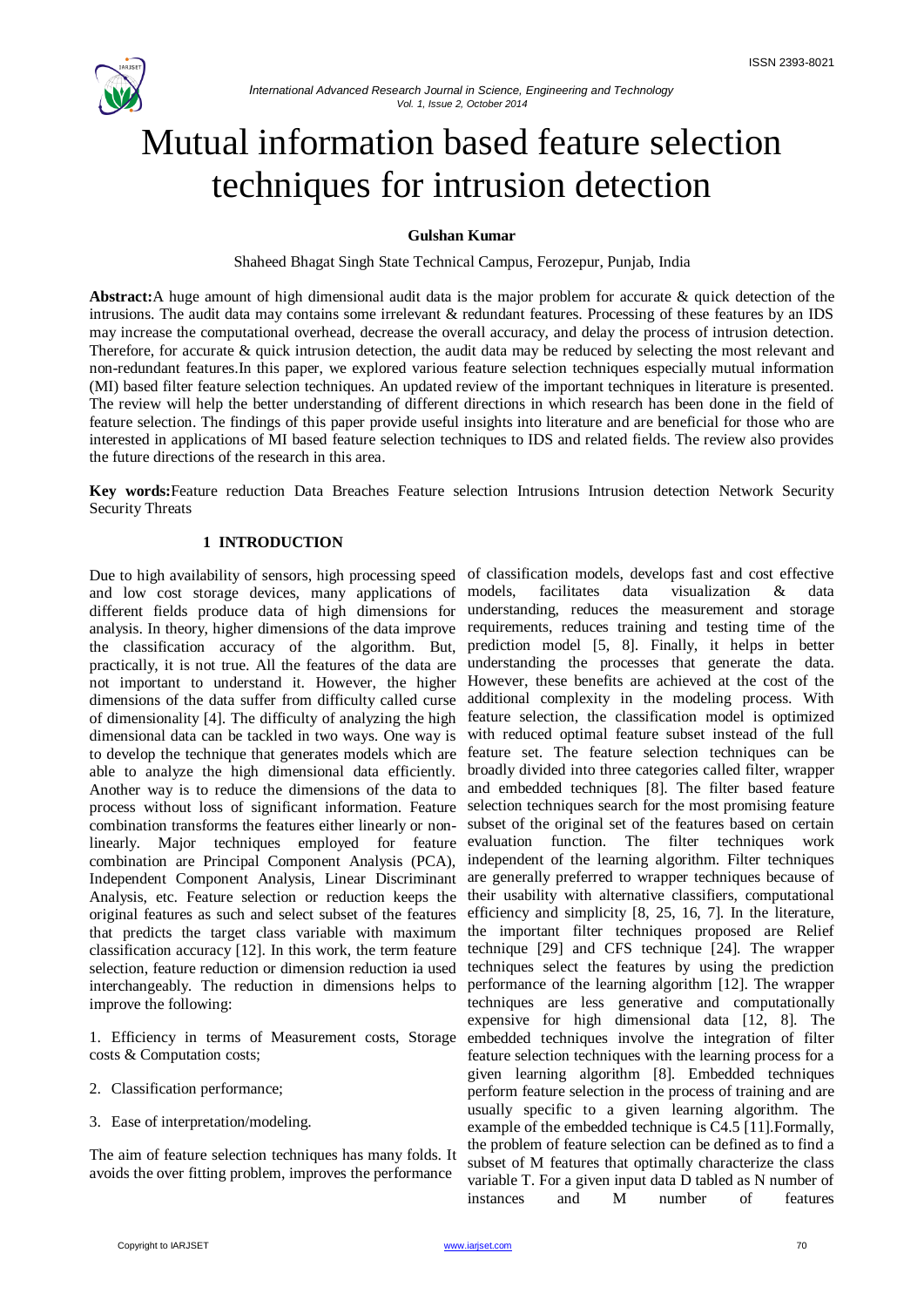

# Mutual information based feature selection techniques for intrusion detection

## **Gulshan Kumar**

Shaheed Bhagat Singh State Technical Campus, Ferozepur, Punjab, India

**Abstract:**A huge amount of high dimensional audit data is the major problem for accurate & quick detection of the intrusions. The audit data may contains some irrelevant & redundant features. Processing of these features by an IDS may increase the computational overhead, decrease the overall accuracy, and delay the process of intrusion detection. Therefore, for accurate & quick intrusion detection, the audit data may be reduced by selecting the most relevant and non-redundant features.In this paper, we explored various feature selection techniques especially mutual information (MI) based filter feature selection techniques. An updated review of the important techniques in literature is presented. The review will help the better understanding of different directions in which research has been done in the field of feature selection. The findings of this paper provide useful insights into literature and are beneficial for those who are interested in applications of MI based feature selection techniques to IDS and related fields. The review also provides the future directions of the research in this area.

**Key words:**Feature reduction Data Breaches Feature selection Intrusions Intrusion detection Network Security Security Threats

## **1 INTRODUCTION**

and low cost storage devices, many applications of models, different fields produce data of high dimensions for analysis. In theory, higher dimensions of the data improve requirements, reduces training and testing time of the the classification accuracy of the algorithm. But, prediction model [5, 8]. Finally, it helps in better practically, it is not true. All the features of the data are understanding the processes that generate the data. not important to understand it. However, the higher However, these benefits are achieved at the cost of the dimensions of the data suffer from difficulty called curse additional complexity in the modeling process. With of dimensionality [4]. The difficulty of analyzing the high dimensional data can be tackled in two ways. One way is to develop the technique that generates models which are able to analyze the high dimensional data efficiently. Another way is to reduce the dimensions of the data to process without loss of significant information. Feature combination transforms the features either linearly or nonlinearly. Major techniques employed for feature combination are Principal Component Analysis (PCA), Independent Component Analysis, Linear Discriminant Analysis, etc. Feature selection or reduction keeps the original features as such and select subset of the features that predicts the target class variable with maximum classification accuracy [12]. In this work, the term feature selection, feature reduction or dimension reduction ia used interchangeably. The reduction in dimensions helps to improve the following:

1. Efficiency in terms of Measurement costs, Storage costs & Computation costs;

- 2. Classification performance;
- 3. Ease of interpretation/modeling.

The aim of feature selection techniques has many folds. It avoids the over fitting problem, improves the performance

Due to high availability of sensors, high processing speed of classification models, develops fast and cost effective facilitates data visualization & data understanding, reduces the measurement and storage feature selection, the classification model is optimized with reduced optimal feature subset instead of the full feature set. The feature selection techniques can be broadly divided into three categories called filter, wrapper and embedded techniques [8]. The filter based feature selection techniques search for the most promising feature subset of the original set of the features based on certain evaluation function. The filter techniques work independent of the learning algorithm. Filter techniques are generally preferred to wrapper techniques because of their usability with alternative classifiers, computational efficiency and simplicity [8, 25, 16, 7]. In the literature, the important filter techniques proposed are Relief technique [29] and CFS technique [24]. The wrapper techniques select the features by using the prediction performance of the learning algorithm [12]. The wrapper techniques are less generative and computationally expensive for high dimensional data [12, 8]. The embedded techniques involve the integration of filter feature selection techniques with the learning process for a given learning algorithm [8]. Embedded techniques perform feature selection in the process of training and are usually specific to a given learning algorithm. The example of the embedded technique is C4.5 [11].Formally, the problem of feature selection can be defined as to find a subset of M features that optimally characterize the class variable T. For a given input data D tabled as N number of instances and M number of features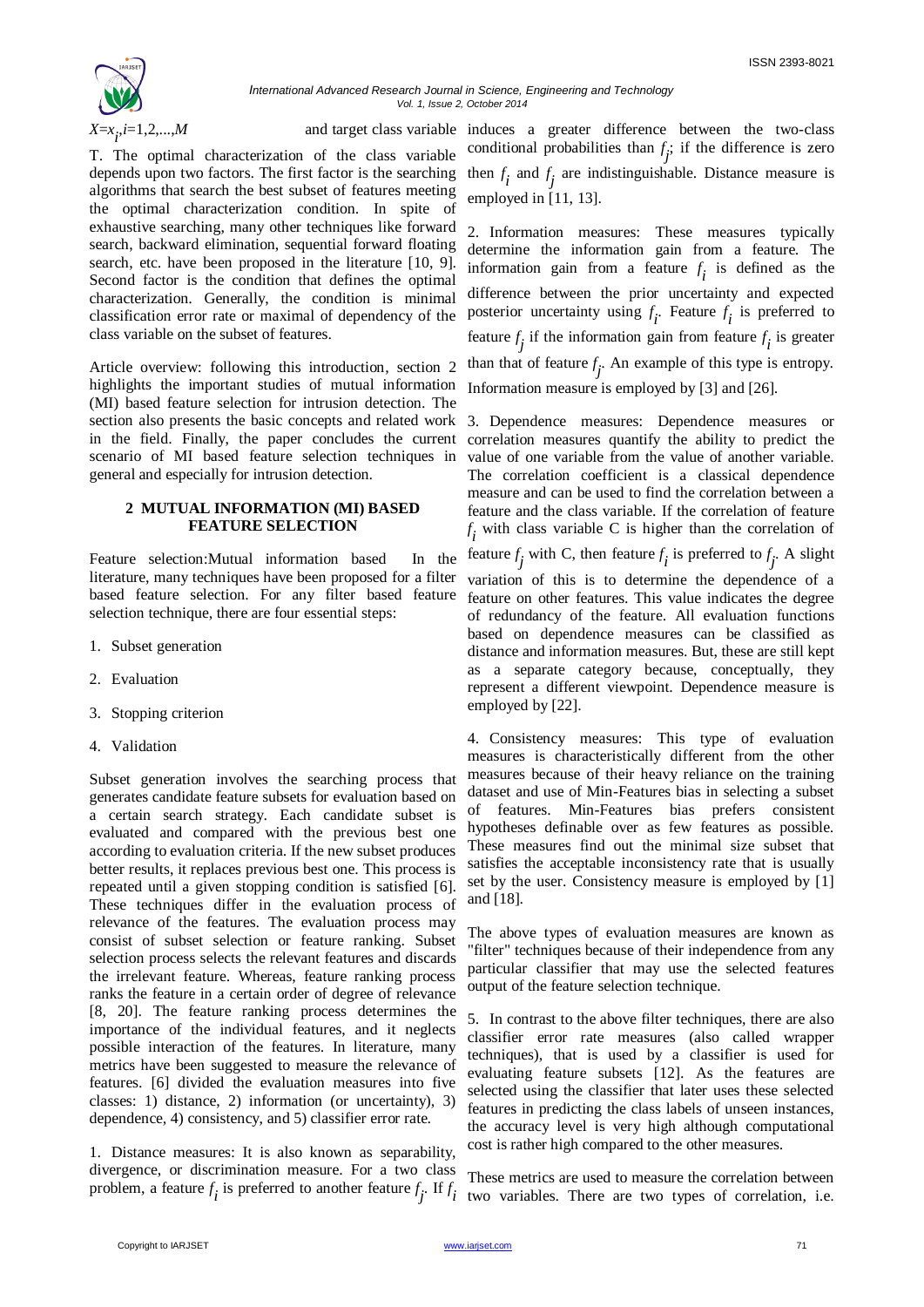

T. The optimal characterization of the class variable depends upon two factors. The first factor is the searching algorithms that search the best subset of features meeting the optimal characterization condition. In spite of exhaustive searching, many other techniques like forward search, backward elimination, sequential forward floating search, etc. have been proposed in the literature [10, 9]. Second factor is the condition that defines the optimal characterization. Generally, the condition is minimal classification error rate or maximal of dependency of the class variable on the subset of features.

Article overview: following this introduction, section 2 highlights the important studies of mutual information (MI) based feature selection for intrusion detection. The section also presents the basic concepts and related work 3. Dependence measures: Dependence measures or in the field. Finally, the paper concludes the current scenario of MI based feature selection techniques in general and especially for intrusion detection.

## **2 MUTUAL INFORMATION (MI) BASED FEATURE SELECTION**

Feature selection:Mutual information based In the literature, many techniques have been proposed for a filter based feature selection. For any filter based feature selection technique, there are four essential steps:

- 1. Subset generation
- 2. Evaluation
- 3. Stopping criterion
- 4. Validation

Subset generation involves the searching process that generates candidate feature subsets for evaluation based on a certain search strategy. Each candidate subset is evaluated and compared with the previous best one according to evaluation criteria. If the new subset produces better results, it replaces previous best one. This process is repeated until a given stopping condition is satisfied [6]. These techniques differ in the evaluation process of relevance of the features. The evaluation process may consist of subset selection or feature ranking. Subset selection process selects the relevant features and discards the irrelevant feature. Whereas, feature ranking process ranks the feature in a certain order of degree of relevance [8, 20]. The feature ranking process determines the importance of the individual features, and it neglects possible interaction of the features. In literature, many metrics have been suggested to measure the relevance of features. [6] divided the evaluation measures into five classes: 1) distance, 2) information (or uncertainty), 3) dependence, 4) consistency, and 5) classifier error rate.

1. Distance measures: It is also known as separability, divergence, or discrimination measure. For a two class problem, a feature  $f_i$  is preferred to another feature  $f_j$ . If  $f_i$ 

*i*=1,2,...,*M* and target class variable induces a greater difference between the two-class conditional probabilities than  $f_j$ ; if the difference is zero then  $f_i$  and  $f_j$  are indistinguishable. Distance measure is employed in [11, 13].

> 2. Information measures: These measures typically determine the information gain from a feature. The information gain from a feature  $f_i$  is defined as the difference between the prior uncertainty and expected posterior uncertainty using  $f_i$ . Feature  $f_i$  is preferred to feature  $f_j$  if the information gain from feature  $f_i$  is greater than that of feature  $f_j$ . An example of this type is entropy. Information measure is employed by [3] and [26].

> correlation measures quantify the ability to predict the value of one variable from the value of another variable. The correlation coefficient is a classical dependence measure and can be used to find the correlation between a feature and the class variable. If the correlation of feature  $f_i$  with class variable C is higher than the correlation of

feature  $f_j$  with C, then feature  $f_i$  is preferred to  $f_j$ . A slight

variation of this is to determine the dependence of a feature on other features. This value indicates the degree of redundancy of the feature. All evaluation functions based on dependence measures can be classified as distance and information measures. But, these are still kept as a separate category because, conceptually, they represent a different viewpoint. Dependence measure is employed by [22].

4. Consistency measures: This type of evaluation measures is characteristically different from the other measures because of their heavy reliance on the training dataset and use of Min-Features bias in selecting a subset of features. Min-Features bias prefers consistent hypotheses definable over as few features as possible. These measures find out the minimal size subset that satisfies the acceptable inconsistency rate that is usually set by the user. Consistency measure is employed by [1] and [18].

The above types of evaluation measures are known as "filter" techniques because of their independence from any particular classifier that may use the selected features output of the feature selection technique.

5. In contrast to the above filter techniques, there are also classifier error rate measures (also called wrapper techniques), that is used by a classifier is used for evaluating feature subsets [12]. As the features are selected using the classifier that later uses these selected features in predicting the class labels of unseen instances, the accuracy level is very high although computational cost is rather high compared to the other measures.

These metrics are used to measure the correlation between two variables. There are two types of correlation, i.e.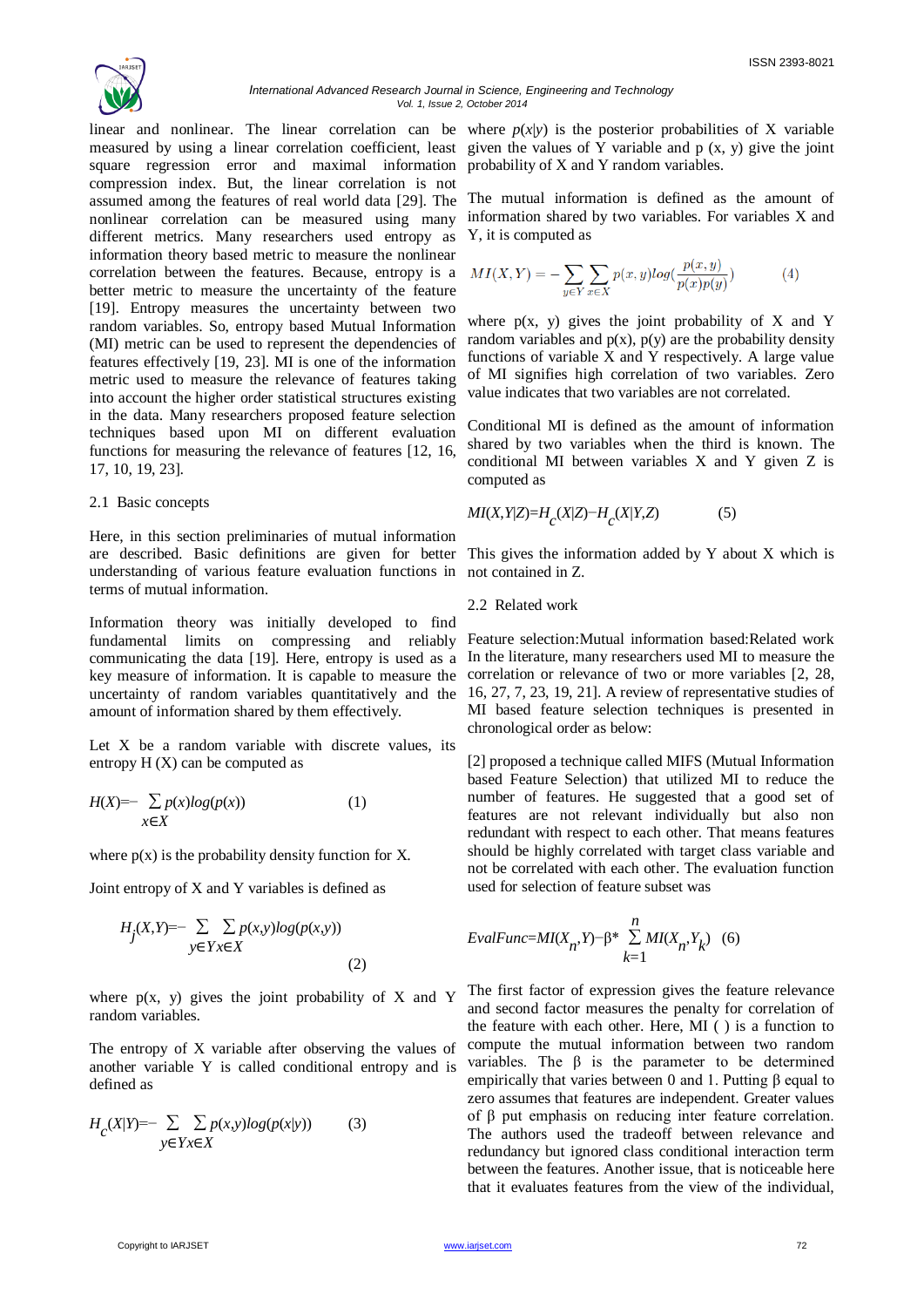

square regression error and maximal information probability of X and Y random variables. compression index. But, the linear correlation is not assumed among the features of real world data [29]. The nonlinear correlation can be measured using many different metrics. Many researchers used entropy as information theory based metric to measure the nonlinear correlation between the features. Because, entropy is a better metric to measure the uncertainty of the feature [19]. Entropy measures the uncertainty between two random variables. So, entropy based Mutual Information (MI) metric can be used to represent the dependencies of features effectively [19, 23]. MI is one of the information metric used to measure the relevance of features taking into account the higher order statistical structures existing in the data. Many researchers proposed feature selection techniques based upon MI on different evaluation functions for measuring the relevance of features [12, 16, 17, 10, 19, 23].

#### 2.1 Basic concepts

Here, in this section preliminaries of mutual information are described. Basic definitions are given for better This gives the information added by Y about X which is understanding of various feature evaluation functions in not contained in Z. terms of mutual information.

Information theory was initially developed to find fundamental limits on compressing and reliably communicating the data [19]. Here, entropy is used as a In the literature, many researchers used MI to measure the key measure of information. It is capable to measure the uncertainty of random variables quantitatively and the amount of information shared by them effectively.

Let  $X$  be a random variable with discrete values, its entropy  $H(X)$  can be computed as

$$
H(X) = -\sum_{x \in X} p(x) \log(p(x)) \tag{1}
$$

where  $p(x)$  is the probability density function for X.

Joint entropy of X and Y variables is defined as

$$
H_j(X,Y) = -\sum_{y \in Y} \sum_{x \in X} p(x,y) \log(p(x,y))
$$
\n<sup>(2)</sup>

where  $p(x, y)$  gives the joint probability of X and Y random variables.

The entropy of X variable after observing the values of another variable Y is called conditional entropy and is defined as

$$
H_c(X|Y) = -\sum_{y \in Yx \in X} \sum p(x,y) \log(p(x|y)) \tag{3}
$$

linear and nonlinear. The linear correlation can be where  $p(x|y)$  is the posterior probabilities of X variable measured by using a linear correlation coefficient, least given the values of Y variable and  $p(x, y)$  give the joint

> The mutual information is defined as the amount of information shared by two variables. For variables X and Y, it is computed as

$$
MI(X,Y) = -\sum_{y \in Y} \sum_{x \in X} p(x,y) \log(\frac{p(x,y)}{p(x)p(y)})
$$
(4)

where  $p(x, y)$  gives the joint probability of X and Y random variables and  $p(x)$ ,  $p(y)$  are the probability density functions of variable X and Y respectively. A large value of MI signifies high correlation of two variables. Zero value indicates that two variables are not correlated.

Conditional MI is defined as the amount of information shared by two variables when the third is known. The conditional MI between variables X and Y given Z is computed as

$$
MI(X,Y|Z) = H_c(X|Z) - H_c(X|Y,Z)
$$
 (5)

## 2.2 Related work

Feature selection:Mutual information based:Related work correlation or relevance of two or more variables [2, 28, 16, 27, 7, 23, 19, 21]. A review of representative studies of MI based feature selection techniques is presented in chronological order as below:

[2] proposed a technique called MIFS (Mutual Information based Feature Selection) that utilized MI to reduce the number of features. He suggested that a good set of features are not relevant individually but also non redundant with respect to each other. That means features should be highly correlated with target class variable and not be correlated with each other. The evaluation function used for selection of feature subset was

$$
EvalFunc = MI(X_n, Y) - \beta^* \sum_{k=1}^{n} MI(X_n, Y_k) \quad (6)
$$

The first factor of expression gives the feature relevance and second factor measures the penalty for correlation of the feature with each other. Here, MI ( ) is a function to compute the mutual information between two random variables. The β is the parameter to be determined empirically that varies between 0 and 1. Putting β equal to zero assumes that features are independent. Greater values of β put emphasis on reducing inter feature correlation. The authors used the tradeoff between relevance and redundancy but ignored class conditional interaction term between the features. Another issue, that is noticeable here that it evaluates features from the view of the individual,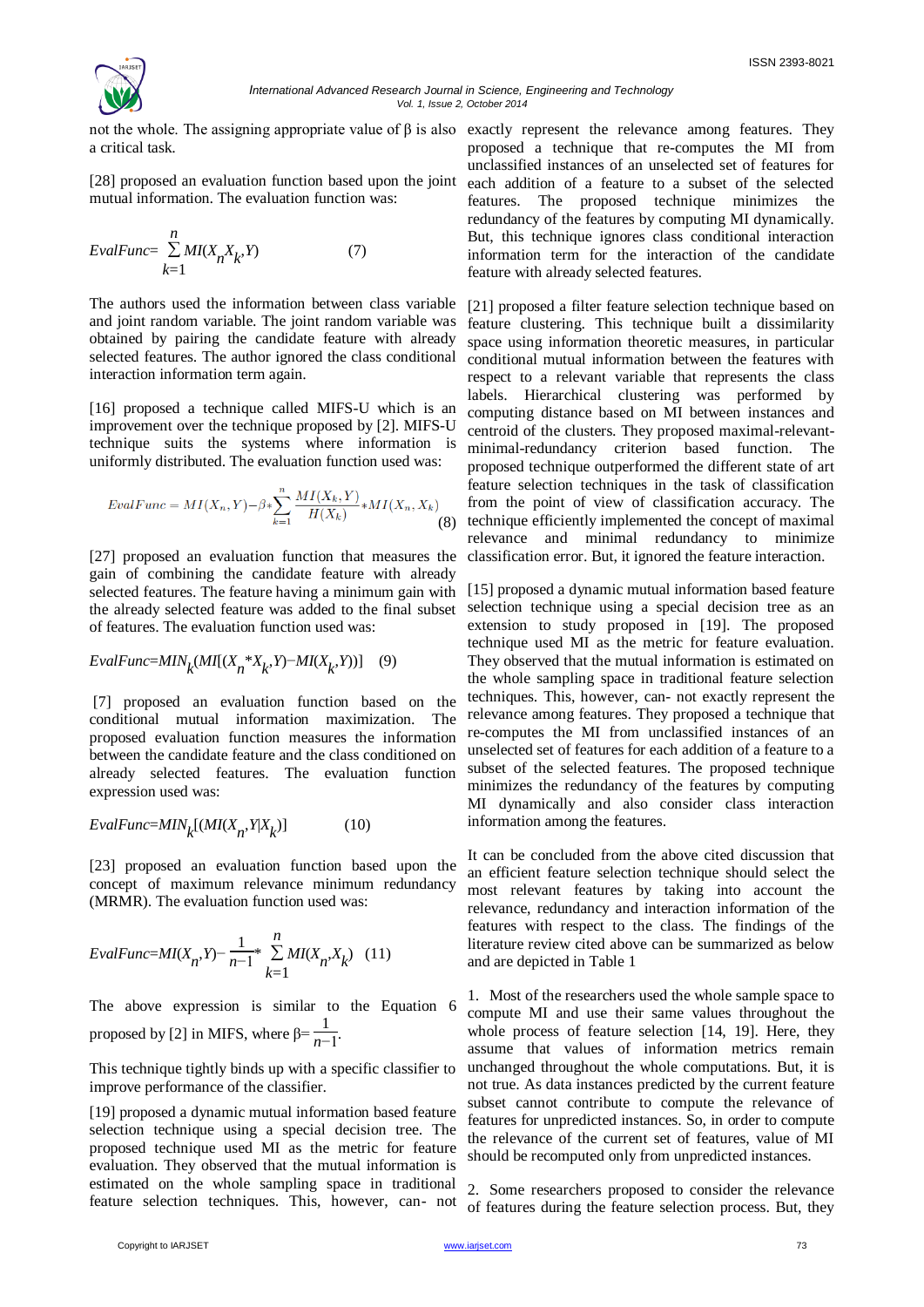

a critical task.

[28] proposed an evaluation function based upon the joint mutual information. The evaluation function was:

$$
EvalFunc = \sum_{k=1}^{n} MI(X_n X_k, Y)
$$
 (7)

The authors used the information between class variable and joint random variable. The joint random variable was obtained by pairing the candidate feature with already selected features. The author ignored the class conditional interaction information term again.

[16] proposed a technique called MIFS-U which is an improvement over the technique proposed by [2]. MIFS-U technique suits the systems where information is uniformly distributed. The evaluation function used was:

$$
EvalFunc = MI(X_n, Y) - \beta * \sum_{k=1}^{n} \frac{MI(X_k, Y)}{H(X_k)} * MI(X_n, X_k)
$$
\n(8)

[27] proposed an evaluation function that measures the gain of combining the candidate feature with already selected features. The feature having a minimum gain with the already selected feature was added to the final subset of features. The evaluation function used was:

$$
EvalFunc=MIN_{k}(MI[(X_{n}^{*}X_{k}, Y)-MI(X_{k}, Y))] \quad (9)
$$

[7] proposed an evaluation function based on the conditional mutual information maximization. The proposed evaluation function measures the information between the candidate feature and the class conditioned on already selected features. The evaluation function expression used was:

$$
EvalFunc = MIN_{k}[(MI(X_{n}, Y|X_{k})]
$$
 (10)

[23] proposed an evaluation function based upon the concept of maximum relevance minimum redundancy (MRMR). The evaluation function used was:

$$
EvalFunc = MI(X_n, Y) - \frac{1}{n-1} * \sum_{k=1}^{n} MI(X_n, X_k) \quad (11)
$$

The above expression is similar to the Equation 6 proposed by [2] in MIFS, where  $β = \frac{1}{n-1}$ .

This technique tightly binds up with a specific classifier to improve performance of the classifier.

[19] proposed a dynamic mutual information based feature selection technique using a special decision tree. The proposed technique used MI as the metric for feature evaluation. They observed that the mutual information is estimated on the whole sampling space in traditional feature selection techniques. This, however, can- not

not the whole. The assigning appropriate value of  $\beta$  is also exactly represent the relevance among features. They proposed a technique that re-computes the MI from unclassified instances of an unselected set of features for each addition of a feature to a subset of the selected features. The proposed technique minimizes the redundancy of the features by computing MI dynamically. But, this technique ignores class conditional interaction information term for the interaction of the candidate feature with already selected features.

> [21] proposed a filter feature selection technique based on feature clustering. This technique built a dissimilarity space using information theoretic measures, in particular conditional mutual information between the features with respect to a relevant variable that represents the class labels. Hierarchical clustering was performed by computing distance based on MI between instances and centroid of the clusters. They proposed maximal-relevantminimal-redundancy criterion based function. The proposed technique outperformed the different state of art feature selection techniques in the task of classification from the point of view of classification accuracy. The technique efficiently implemented the concept of maximal relevance and minimal redundancy to minimize classification error. But, it ignored the feature interaction.

> [15] proposed a dynamic mutual information based feature selection technique using a special decision tree as an extension to study proposed in [19]. The proposed technique used MI as the metric for feature evaluation. They observed that the mutual information is estimated on the whole sampling space in traditional feature selection techniques. This, however, can- not exactly represent the relevance among features. They proposed a technique that re-computes the MI from unclassified instances of an unselected set of features for each addition of a feature to a subset of the selected features. The proposed technique minimizes the redundancy of the features by computing MI dynamically and also consider class interaction information among the features.

> It can be concluded from the above cited discussion that an efficient feature selection technique should select the most relevant features by taking into account the relevance, redundancy and interaction information of the features with respect to the class. The findings of the literature review cited above can be summarized as below and are depicted in Table 1

> 1. Most of the researchers used the whole sample space to compute MI and use their same values throughout the whole process of feature selection [14, 19]. Here, they assume that values of information metrics remain unchanged throughout the whole computations. But, it is not true. As data instances predicted by the current feature subset cannot contribute to compute the relevance of features for unpredicted instances. So, in order to compute the relevance of the current set of features, value of MI should be recomputed only from unpredicted instances.

> 2. Some researchers proposed to consider the relevance of features during the feature selection process. But, they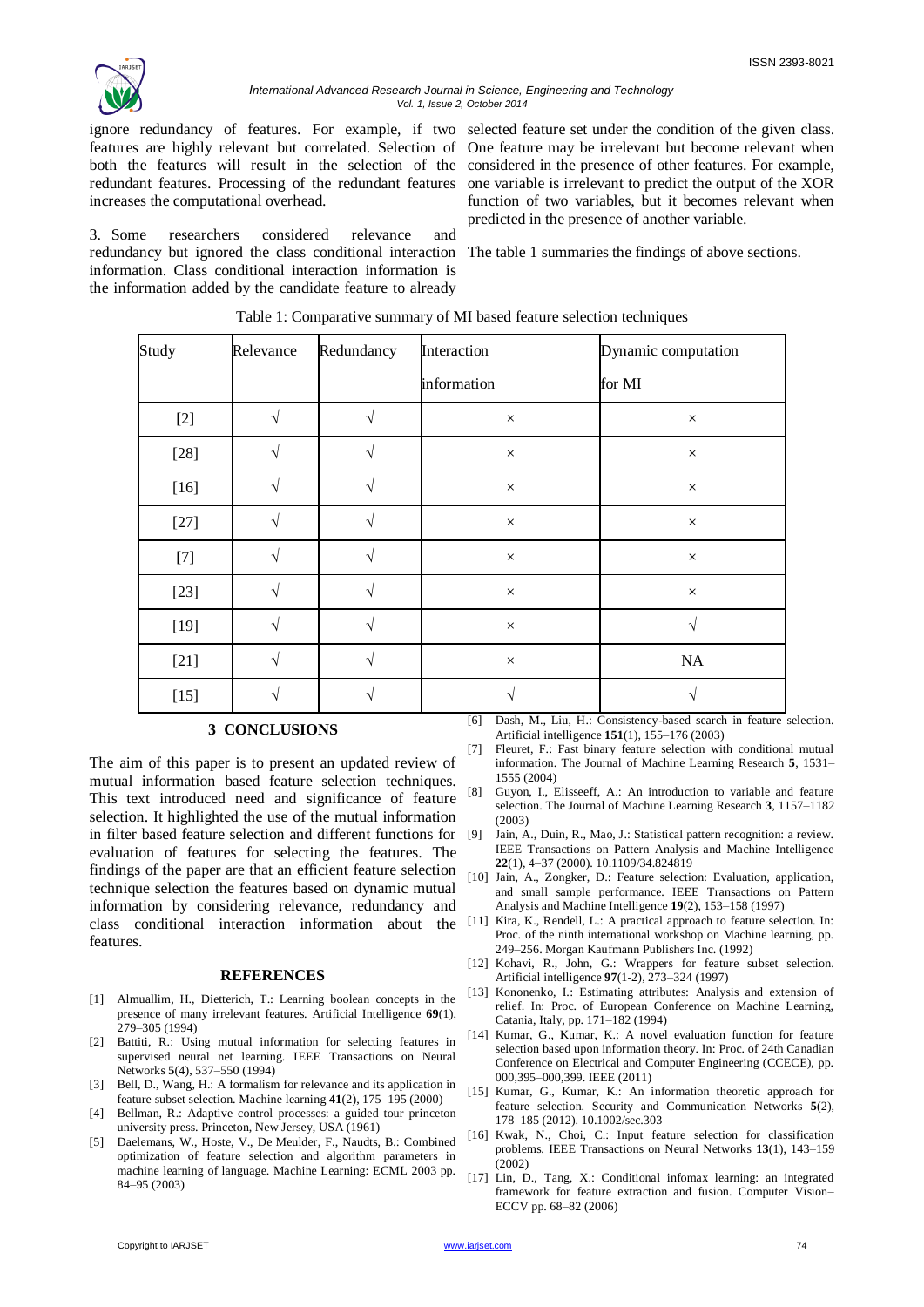

#### *International Advanced Research Journal in Science, Engineering and Technology Vol. 1, Issue 2, October 2014*

ignore redundancy of features. For example, if two selected feature set under the condition of the given class. redundant features. Processing of the redundant features increases the computational overhead.

3. Some researchers considered relevance and redundancy but ignored the class conditional interaction The table 1 summaries the findings of above sections. information. Class conditional interaction information is the information added by the candidate feature to already

features are highly relevant but correlated. Selection of One feature may be irrelevant but become relevant when both the features will result in the selection of the considered in the presence of other features. For example, one variable is irrelevant to predict the output of the XOR function of two variables, but it becomes relevant when predicted in the presence of another variable.

| Study  | Relevance | Redundancy    | Interaction | Dynamic computation |
|--------|-----------|---------------|-------------|---------------------|
|        |           |               | information | for MI              |
| $[2]$  |           | N             | $\times$    | $\times$            |
| $[28]$ |           |               | $\times$    | $\times$            |
| $[16]$ |           |               | $\times$    | $\times$            |
| $[27]$ |           | $\Delta$      | $\times$    | $\times$            |
| $[7]$  |           |               | $\times$    | $\times$            |
| $[23]$ |           | $\mathcal{L}$ | $\times$    | $\times$            |
| $[19]$ |           | $\Delta$      | $\times$    | V                   |
| $[21]$ |           |               | $\times$    | NA                  |
| $[15]$ |           |               |             |                     |

#### Table 1: Comparative summary of MI based feature selection techniques

## **3 CONCLUSIONS**

The aim of this paper is to present an updated review of mutual information based feature selection techniques. This text introduced need and significance of feature selection. It highlighted the use of the mutual information in filter based feature selection and different functions for evaluation of features for selecting the features. The findings of the paper are that an efficient feature selection technique selection the features based on dynamic mutual information by considering relevance, redundancy and class conditional interaction information about the features.

#### **REFERENCES**

- [1] Almuallim, H., Dietterich, T.: Learning boolean concepts in the presence of many irrelevant features. Artificial Intelligence **69**(1), 279–305 (1994)
- [2] Battiti, R.: Using mutual information for selecting features in supervised neural net learning. IEEE Transactions on Neural Networks **5**(4), 537–550 (1994)
- [3] Bell, D., Wang, H.: A formalism for relevance and its application in feature subset selection. Machine learning **41**(2), 175–195 (2000)
- [4] Bellman, R.: Adaptive control processes: a guided tour princeton university press. Princeton, New Jersey, USA (1961)
- [5] Daelemans, W., Hoste, V., De Meulder, F., Naudts, B.: Combined optimization of feature selection and algorithm parameters in machine learning of language. Machine Learning: ECML 2003 pp. 84–95 (2003)

[6] Dash, M., Liu, H.: Consistency-based search in feature selection. Artificial intelligence **151**(1), 155–176 (2003)

- [7] Fleuret, F.: Fast binary feature selection with conditional mutual information. The Journal of Machine Learning Research **5**, 1531– 1555 (2004)
- [8] Guyon, I., Elisseeff, A.: An introduction to variable and feature selection. The Journal of Machine Learning Research **3**, 1157–1182 (2003)
- [9] Jain, A., Duin, R., Mao, J.: Statistical pattern recognition: a review. IEEE Transactions on Pattern Analysis and Machine Intelligence **22**(1), 4–37 (2000). 10.1109/34.824819
- [10] Jain, A., Zongker, D.: Feature selection: Evaluation, application, and small sample performance. IEEE Transactions on Pattern Analysis and Machine Intelligence **19**(2), 153–158 (1997)
- [11] Kira, K., Rendell, L.: A practical approach to feature selection. In: Proc. of the ninth international workshop on Machine learning, pp. 249–256. Morgan Kaufmann Publishers Inc. (1992)
- [12] Kohavi, R., John, G.: Wrappers for feature subset selection. Artificial intelligence **97**(1-2), 273–324 (1997)
- [13] Kononenko, I.: Estimating attributes: Analysis and extension of relief. In: Proc. of European Conference on Machine Learning, Catania, Italy, pp. 171–182 (1994)
- [14] Kumar, G., Kumar, K.: A novel evaluation function for feature selection based upon information theory. In: Proc. of 24th Canadian Conference on Electrical and Computer Engineering (CCECE), pp. 000,395–000,399. IEEE (2011)
- [15] Kumar, G., Kumar, K.: An information theoretic approach for feature selection. Security and Communication Networks **5**(2), 178–185 (2012). 10.1002/sec.303
- [16] Kwak, N., Choi, C.: Input feature selection for classification problems. IEEE Transactions on Neural Networks **13**(1), 143–159  $(2002)$
- [17] Lin, D., Tang, X.: Conditional infomax learning: an integrated framework for feature extraction and fusion. Computer Vision– ECCV pp. 68–82 (2006)